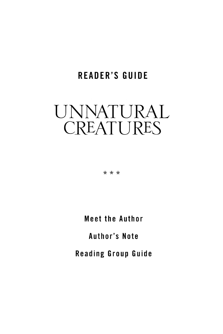# **READER'S GUIDE**

# UNNATURAL CREATURES

 $* * *$ 

**Meet the Author** 

**Author's Note** 

**Reading Group Guide**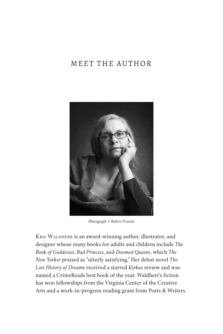### MEET THE AUTHOR



*Photograph © Robert Presutti*

KRIS WALDHERR is an award-winning author, illustrator, and designer whose many books for adults and children include *The Book of Goddesses*, *Bad Princess*, and *Doomed Queens*, which *The New Yorker* praised as "utterly satisfying." Her debut novel *The Lost History of Dreams* received a starred *Kirkus* review and was named a CrimeReads best book of the year. Waldherr's fiction has won fellowships from the Virginia Center of the Creative Arts and a work-in-progress reading grant from Poets & Writers.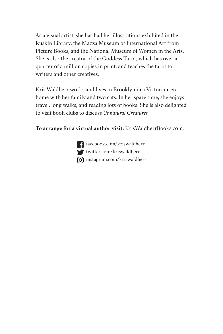As a visual artist, she has had her illustrations exhibited in the Ruskin Library, the Mazza Museum of International Art from Picture Books, and the National Museum of Women in the Arts. She is also the creator of the Goddess Tarot, which has over a quarter of a million copies in print, and teaches the tarot to writers and other creatives.

Kris Waldherr works and lives in Brooklyn in a Victorian-era home with her family and two cats. In her spare time, she enjoys travel, long walks, and reading lots of books. She is also delighted to visit book clubs to discuss *Unnatural Creatures.*

**To arrange for a virtual author visit:** KrisWaldherrBooks.com.

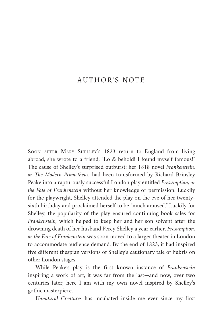#### AUTHOR'S NOTE

SOON AFTER MARY SHELLEY's 1823 return to England from living abroad, she wrote to a friend, "Lo & behold! I found myself famous!" The cause of Shelley's surprised outburst: her 1818 novel *Frankenstein, or The Modern Prometheus,* had been transformed by Richard Brinsley Peake into a rapturously successful London play entitled *Presumption, or the Fate of Frankenstein* without her knowledge or permission. Luckily for the playwright, Shelley attended the play on the eve of her twentysixth birthday and proclaimed herself to be "much amused." Luckily for Shelley, the popularity of the play ensured continuing book sales for *Frankenstein,* which helped to keep her and her son solvent after the drowning death of her husband Percy Shelley a year earlier. *Presumption, or the Fate of Frankenstein* was soon moved to a larger theater in London to accommodate audience demand. By the end of 1823, it had inspired five different thespian versions of Shelley's cautionary tale of hubris on other London stages.

While Peake's play is the first known instance of *Frankenstein* inspiring a work of art, it was far from the last—and now, over two centuries later, here I am with my own novel inspired by Shelley's gothic masterpiece.

*Unnatural Creatures* has incubated inside me ever since my first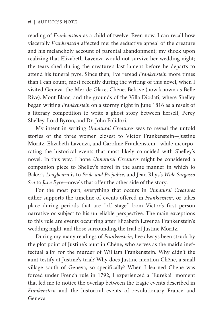reading of *Frankenstein* as a child of twelve. Even now, I can recall how viscerally *Frankenstein* affected me: the seductive appeal of the creature and his melancholy account of parental abandonment; my shock upon realizing that Elizabeth Lavenza would not survive her wedding night; the tears shed during the creature's last lament before he departs to attend his funeral pyre. Since then, I've reread *Frankenstein* more times than I can count, most recently during the writing of this novel, when I visited Geneva, the Mer de Glace, Chêne, Belrive (now known as Belle Rive), Mont Blanc, and the grounds of the Villa Diodati, where Shelley began writing *Frankenstein* on a stormy night in June 1816 as a result of a literary competition to write a ghost story between herself, Percy Shelley, Lord Byron, and Dr. John Polidori.

My intent in writing *Unnatural Creatures* was to reveal the untold stories of the three women closest to Victor Frankenstein—Justine Moritz, Elizabeth Lavenza, and Caroline Frankenstein—while incorpo‐ rating the historical events that most likely coincided with Shelley's novel. In this way, I hope *Unnatural Creatures* might be considered a companion piece to Shelley's novel in the same manner in which Jo Baker's *Longbourn* is to *Pride and Prejudice,* and Jean Rhys's *Wide Sargasso Sea* to *Jane Eyre*—novels that offer the other side of the story.

For the most part, everything that occurs in *Unnatural Creatures* either supports the timeline of events offered in *Frankenstein*, or takes place during periods that are "off stage" from Victor's first person narrative or subject to his unreliable perspective. The main exceptions to this rule are events occurring after Elizabeth Lavenza Frankenstein's wedding night, and those surrounding the trial of Justine Moritz.

During my many readings of *Frankenstein*, I've always been struck by the plot point of Justine's aunt in Chêne, who serves as the maid's ineffectual alibi for the murder of William Frankenstein. Why didn't the aunt testify at Justine's trial? Why does Justine mention Chêne, a small village south of Geneva, so specifically? When I learned Chêne was forced under French rule in 1792, I experienced a "Eureka!" moment that led me to notice the overlap between the tragic events described in *Frankenstein* and the historical events of revolutionary France and Geneva.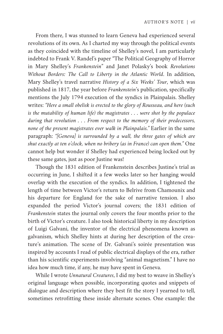From there, I was stunned to learn Geneva had experienced several revolutions of its own. As I charted my way through the political events as they coincided with the timeline of Shelley's novel, I am particularly indebted to Frank V. Randel's paper "The Political Geography of Horror in Mary Shelley's *Frankenstein*" and Janet Polasky's book *Revolutions Without Borders: The Call to Liberty in the Atlantic World*. In addition, Mary Shelley's travel narrative *History of a Six Weeks' Tour*, which was published in 1817, the year before *Frankenstein*'s publication, specifically mentions the July 1794 execution of the syndics in Plainpalais. Shelley writes: *"Here a small obelisk is erected to the glory of Rousseau, and here (such is the mutability of human life) the magistrates . . . were shot by the populace during that revolution . . . From respect to the memory of their predecessors, none of the present magistrates ever walk in Plainpalais."* Earlier in the same paragraph: *"[Geneva] is surrounded by a wall, the three gates of which are shut exactly at ten o'clock, when no bribery (as in France) can open them."* One cannot help but wonder if Shelley had experienced being locked out by these same gates, just as poor Justine was!

Though the 1831 edition of Frankenstein describes Justine's trial as occurring in June, I shifted it a few weeks later so her hanging would overlap with the execution of the syndics. In addition, I tightened the length of time between Victor's return to Belrive from Chamounix and his departure for England for the sake of narrative tension. I also expanded the period Victor's journal covers; the 1831 edition of *Frankenstein* states the journal only covers the four months prior to the birth of Victor's creature. I also took historical liberty in my description of Luigi Galvani, the inventor of the electrical phenomena known as galvanism, which Shelley hints at during her description of the creature's animation. The scene of Dr. Galvani's soirée presentation was inspired by accounts I read of public electrical displays of the era, rather than his scientific experiments involving "animal magnetism." I have no idea how much time, if any, he may have spent in Geneva.

While I wrote *Unnatural Creatures*, I did my best to weave in Shelley's original language when possible, incorporating quotes and snippets of dialogue and description where they best fit the story I yearned to tell, sometimes retrofitting these inside alternate scenes. One example: the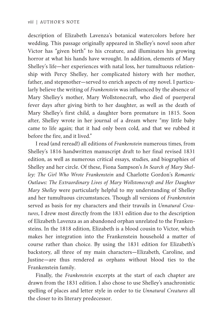description of Elizabeth Lavenza's botanical watercolors before her wedding. This passage originally appeared in Shelley's novel soon after Victor has "given birth" to his creature, and illuminates his growing horror at what his hands have wrought. In addition, elements of Mary Shelley's life—her experiences with natal loss, her tumultuous relationship with Percy Shelley, her complicated history with her mother, father, and stepmother-served to enrich aspects of my novel. I particularly believe the writing of *Frankenstein* was influenced by the absence of Mary Shelley's mother, Mary Wollstonecraft, who died of puerperal fever days after giving birth to her daughter, as well as the death of Mary Shelley's first child, a daughter born premature in 1815. Soon after, Shelley wrote in her journal of a dream where "my little baby came to life again; that it had only been cold, and that we rubbed it before the fire, and it lived."

I read (and reread!) all editions of *Frankenstein* numerous times, from Shelley's 1816 handwritten manuscript draft to her final revised 1831 edition, as well as numerous critical essays, studies, and biographies of Shelley and her circle. Of these, Fiona Sampson's *In Search of Mary Shel‐ ley: The Girl Who Wrote Frankenstein* and Charlotte Gordon's *Romantic Outlaws: The Extraordinary Lives of Mary Wollstonecraft and Her Daughter Mary Shelley* were particularly helpful to my understanding of Shelley and her tumultuous circumstances. Though all versions of *Frankenstein* served as basis for my characters and their travails in *Unnatural Crea‐ tures*, I drew most directly from the 1831 edition due to the description of Elizabeth Lavenza as an abandoned orphan unrelated to the Franken‐ steins. In the 1818 edition, Elizabeth is a blood cousin to Victor, which makes her integration into the Frankenstein household a matter of course rather than choice. By using the 1831 edition for Elizabeth's backstory, all three of my main characters—Elizabeth, Caroline, and Justine—are thus rendered as orphans without blood ties to the Frankenstein family.

Finally, the *Frankenstein* excerpts at the start of each chapter are drawn from the 1831 edition. I also chose to use Shelley's anachronistic spelling of places and letter style in order to tie *Unnatural Creatures* all the closer to its literary predecessor.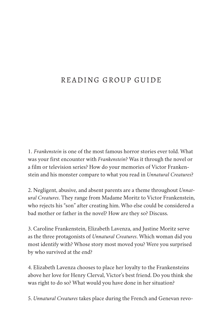## READING GROUP GUIDE

1. *Frankenstein* is one of the most famous horror stories ever told. What was your first encounter with *Frankenstein*? Was it through the novel or a film or television series? How do your memories of Victor Franken‐ stein and his monster compare to what you read in *Unnatural Creatures*?

2. Negligent, abusive, and absent parents are a theme throughout *Unnat‐ ural Creatures*. They range from Madame Moritz to Victor Frankenstein, who rejects his "son" after creating him. Who else could be considered a bad mother or father in the novel? How are they so? Discuss.

3. Caroline Frankenstein, Elizabeth Lavenza, and Justine Moritz serve as the three protagonists of *Unnatural Creatures*. Which woman did you most identify with? Whose story most moved you? Were you surprised by who survived at the end?

4. Elizabeth Lavenza chooses to place her loyalty to the Frankensteins above her love for Henry Clerval, Victor's best friend. Do you think she was right to do so? What would you have done in her situation?

5. *Unnatural Creatures* takes place during the French and Genevan revo‐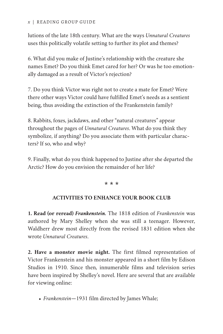#### *x* | READING GROUP GUIDE

lutions of the late 18th century. What are the ways *Unnatural Creatures* uses this politically volatile setting to further its plot and themes?

6. What did you make of Justine's relationship with the creature she names Emet? Do you think Emet cared for her? Or was he too emotionally damaged as a result of Victor's rejection?

7. Do you think Victor was right not to create a mate for Emet? Were there other ways Victor could have fulfilled Emet's needs as a sentient being, thus avoiding the extinction of the Frankenstein family?

8. Rabbits, foxes, jackdaws, and other "natural creatures" appear throughout the pages of *Unnatural Creatures*. What do you think they symbolize, if anything? Do you associate them with particular characters? If so, who and why?

9. Finally, what do you think happened to Justine after she departed the Arctic? How do you envision the remainder of her life?

 $* * *$ 

#### **ACTIVITIES TO ENHANCE YOUR BOOK CLUB**

**1. Read (or reread)** *Frankenstein.* The 1818 edition of *Frankenstein* was authored by Mary Shelley when she was still a teenager. However, Waldherr drew most directly from the revised 1831 edition when she wrote *Unnatural Creatures*.

**2. Have a monster movie night.** The first filmed representation of Victor Frankenstein and his monster appeared in a short film by Edison Studios in 1910. Since then, innumerable films and television series have been inspired by Shelley's novel. Here are several that are available for viewing online:

*Frankenstein*—1931 film directed by James Whale;